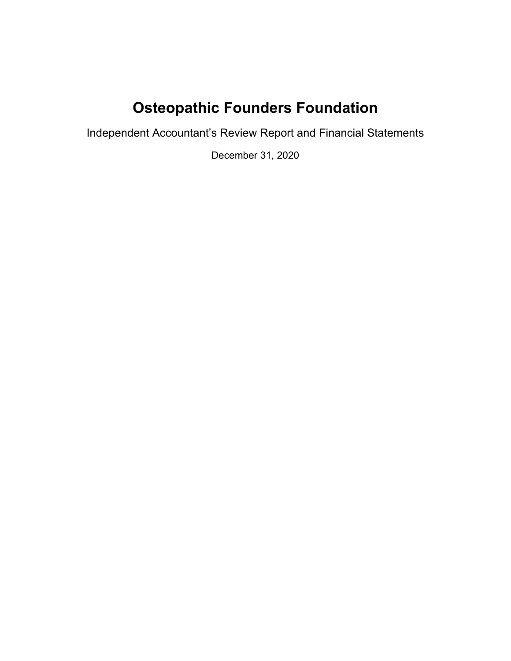Independent Accountant's Review Report and Financial Statements

December 31, 2020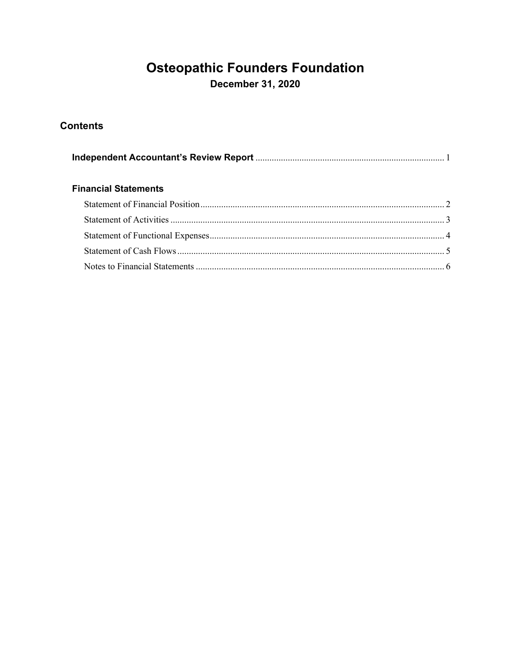# **Osteopathic Founders Foundation December 31, 2020**

## **Contents**

| <b>Financial Statements</b> |  |
|-----------------------------|--|
|                             |  |
|                             |  |
|                             |  |
|                             |  |
|                             |  |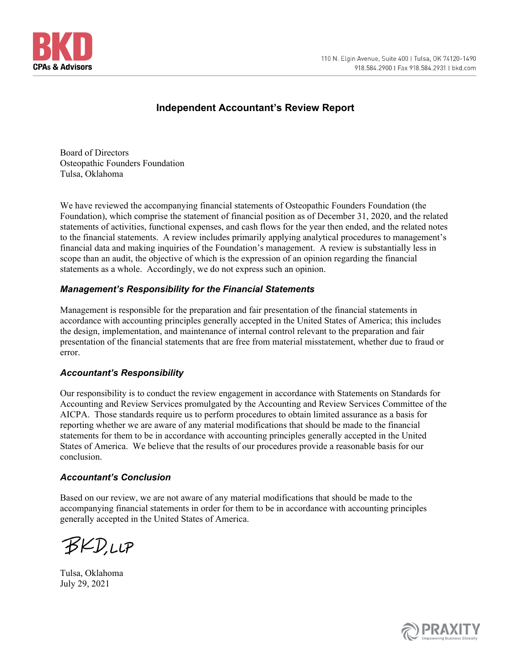

### **Independent Accountant's Review Report**

Board of Directors Osteopathic Founders Foundation Tulsa, Oklahoma

We have reviewed the accompanying financial statements of Osteopathic Founders Foundation (the Foundation), which comprise the statement of financial position as of December 31, 2020, and the related statements of activities, functional expenses, and cash flows for the year then ended, and the related notes to the financial statements. A review includes primarily applying analytical procedures to management's financial data and making inquiries of the Foundation's management. A review is substantially less in scope than an audit, the objective of which is the expression of an opinion regarding the financial statements as a whole. Accordingly, we do not express such an opinion.

### *Management's Responsibility for the Financial Statements*

Management is responsible for the preparation and fair presentation of the financial statements in accordance with accounting principles generally accepted in the United States of America; this includes the design, implementation, and maintenance of internal control relevant to the preparation and fair presentation of the financial statements that are free from material misstatement, whether due to fraud or error.

### *Accountant's Responsibility*

Our responsibility is to conduct the review engagement in accordance with Statements on Standards for Accounting and Review Services promulgated by the Accounting and Review Services Committee of the AICPA. Those standards require us to perform procedures to obtain limited assurance as a basis for reporting whether we are aware of any material modifications that should be made to the financial statements for them to be in accordance with accounting principles generally accepted in the United States of America. We believe that the results of our procedures provide a reasonable basis for our conclusion.

### *Accountant's Conclusion*

Based on our review, we are not aware of any material modifications that should be made to the accompanying financial statements in order for them to be in accordance with accounting principles generally accepted in the United States of America.

BKD.LLP

Tulsa, Oklahoma July 29, 2021

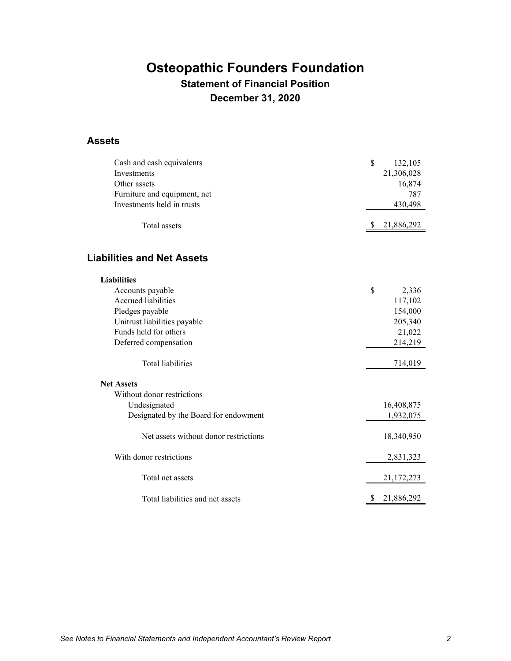## **Statement of Financial Position December 31, 2020**

### **Assets**

| Cash and cash equivalents<br>Investments<br>Other assets<br>Furniture and equipment, net<br>Investments held in trusts | \$           | 132,105<br>21,306,028<br>16,874<br>787 |
|------------------------------------------------------------------------------------------------------------------------|--------------|----------------------------------------|
|                                                                                                                        |              | 430,498                                |
| Total assets                                                                                                           | <sup>8</sup> | 21,886,292                             |
| <b>Liabilities and Net Assets</b>                                                                                      |              |                                        |
| <b>Liabilities</b>                                                                                                     |              |                                        |
| Accounts payable                                                                                                       | \$           | 2,336                                  |
| <b>Accrued</b> liabilities                                                                                             |              | 117,102                                |
| Pledges payable                                                                                                        |              | 154,000                                |
| Unitrust liabilities payable                                                                                           |              | 205,340                                |
| Funds held for others                                                                                                  |              | 21,022                                 |
| Deferred compensation                                                                                                  |              | 214,219                                |
| <b>Total liabilities</b>                                                                                               |              | 714,019                                |
| <b>Net Assets</b>                                                                                                      |              |                                        |
| Without donor restrictions                                                                                             |              |                                        |
| Undesignated                                                                                                           |              | 16,408,875                             |
| Designated by the Board for endowment                                                                                  |              | 1,932,075                              |
| Net assets without donor restrictions                                                                                  |              | 18,340,950                             |
| With donor restrictions                                                                                                |              | 2,831,323                              |
| Total net assets                                                                                                       |              | 21,172,273                             |
| Total liabilities and net assets                                                                                       | \$           | 21,886,292                             |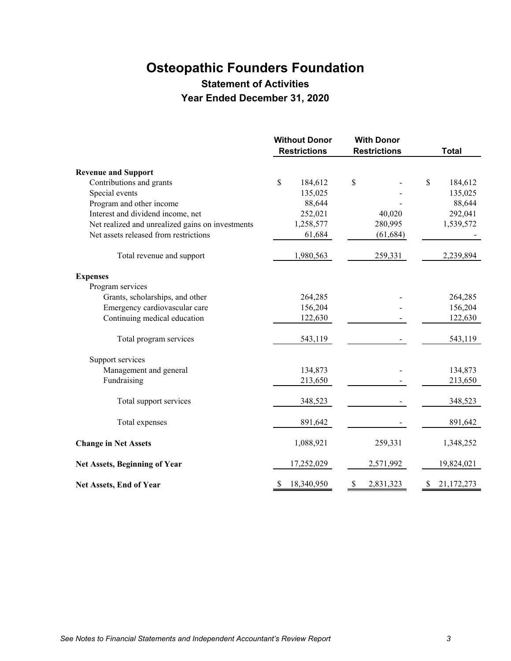## **Statement of Activities Year Ended December 31, 2020**

|                                                  | <b>Without Donor</b> | <b>With Donor</b>   |                  |
|--------------------------------------------------|----------------------|---------------------|------------------|
|                                                  | <b>Restrictions</b>  | <b>Restrictions</b> | <b>Total</b>     |
| <b>Revenue and Support</b>                       |                      |                     |                  |
| Contributions and grants                         | \$<br>184,612        | \$                  | \$<br>184,612    |
| Special events                                   | 135,025              |                     | 135,025          |
| Program and other income                         | 88,644               |                     | 88,644           |
| Interest and dividend income, net                | 252,021              | 40,020              | 292,041          |
| Net realized and unrealized gains on investments | 1,258,577            | 280,995             | 1,539,572        |
| Net assets released from restrictions            | 61,684               | (61, 684)           |                  |
| Total revenue and support                        | 1,980,563            | 259,331             | 2,239,894        |
| <b>Expenses</b>                                  |                      |                     |                  |
| Program services                                 |                      |                     |                  |
| Grants, scholarships, and other                  | 264,285              |                     | 264,285          |
| Emergency cardiovascular care                    | 156,204              |                     | 156,204          |
| Continuing medical education                     | 122,630              |                     | 122,630          |
| Total program services                           | 543,119              |                     | 543,119          |
| Support services                                 |                      |                     |                  |
| Management and general                           | 134,873              |                     | 134,873          |
| Fundraising                                      | 213,650              |                     | 213,650          |
| Total support services                           | 348,523              |                     | 348,523          |
| Total expenses                                   | 891,642              |                     | 891,642          |
| <b>Change in Net Assets</b>                      | 1,088,921            | 259,331             | 1,348,252        |
| <b>Net Assets, Beginning of Year</b>             | 17,252,029           | 2,571,992           | 19,824,021       |
| Net Assets, End of Year                          | 18,340,950<br>S      | 2,831,323<br>S      | 21,172,273<br>\$ |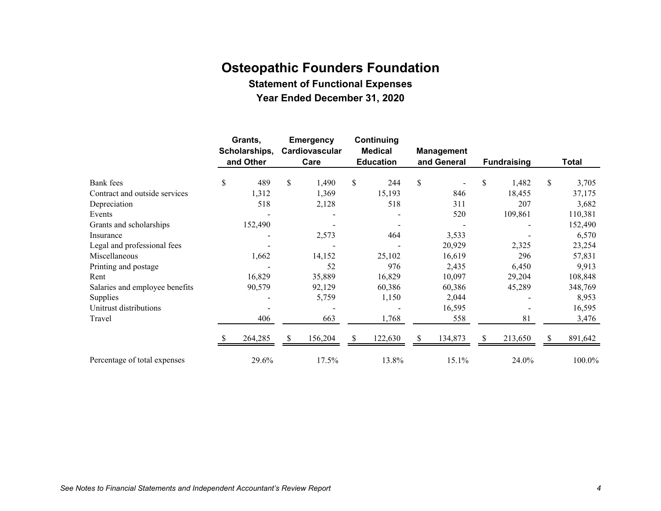## **Statement of Functional Expenses Year Ended December 31, 2020**

|                                | Grants,<br>Scholarships, | <b>Emergency</b><br>Cardiovascular |     | Continuing<br><b>Medical</b> |          | <b>Management</b> |                    |              |
|--------------------------------|--------------------------|------------------------------------|-----|------------------------------|----------|-------------------|--------------------|--------------|
|                                | and Other                | Care                               |     | <b>Education</b>             |          | and General       | <b>Fundraising</b> | <b>Total</b> |
| <b>Bank</b> fees               | \$<br>489                | \$<br>1,490                        | \$  | 244                          | \$       |                   | \$<br>1,482        | \$<br>3,705  |
| Contract and outside services  | 1,312                    | 1,369                              |     | 15,193                       |          | 846               | 18,455             | 37,175       |
| Depreciation                   | 518                      | 2,128                              |     | 518                          |          | 311               | 207                | 3,682        |
| Events                         |                          |                                    |     |                              |          | 520               | 109,861            | 110,381      |
| Grants and scholarships        | 152,490                  |                                    |     |                              |          |                   |                    | 152,490      |
| Insurance                      |                          | 2,573                              |     | 464                          |          | 3,533             |                    | 6,570        |
| Legal and professional fees    |                          |                                    |     |                              |          | 20,929            | 2,325              | 23,254       |
| Miscellaneous                  | 1,662                    | 14,152                             |     | 25,102                       |          | 16,619            | 296                | 57,831       |
| Printing and postage           |                          | 52                                 |     | 976                          |          | 2,435             | 6,450              | 9,913        |
| Rent                           | 16,829                   | 35,889                             |     | 16,829                       |          | 10,097            | 29,204             | 108,848      |
| Salaries and employee benefits | 90,579                   | 92,129                             |     | 60,386                       |          | 60,386            | 45,289             | 348,769      |
| Supplies                       |                          | 5,759                              |     | 1,150                        |          | 2,044             |                    | 8,953        |
| Unitrust distributions         |                          |                                    |     |                              |          | 16,595            |                    | 16,595       |
| Travel                         | 406                      | 663                                |     | 1,768                        |          | 558               | 81                 | 3,476        |
|                                | 264,285                  | 156,204                            | \$. | 122,630                      | <b>S</b> | 134,873           | 213,650            | 891,642      |
| Percentage of total expenses   | 29.6%                    | 17.5%                              |     | 13.8%                        |          | 15.1%             | 24.0%              | 100.0%       |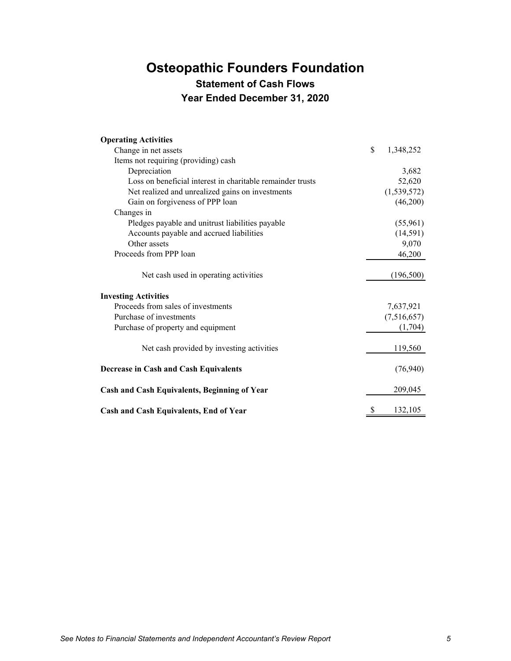**Statement of Cash Flows Year Ended December 31, 2020** 

| <b>Operating Activities</b>                                |    |               |  |  |  |
|------------------------------------------------------------|----|---------------|--|--|--|
| Change in net assets                                       | \$ | 1,348,252     |  |  |  |
| Items not requiring (providing) cash                       |    |               |  |  |  |
| Depreciation                                               |    | 3,682         |  |  |  |
| Loss on beneficial interest in charitable remainder trusts |    | 52,620        |  |  |  |
| Net realized and unrealized gains on investments           |    | (1, 539, 572) |  |  |  |
| Gain on forgiveness of PPP loan                            |    | (46,200)      |  |  |  |
| Changes in                                                 |    |               |  |  |  |
| Pledges payable and unitrust liabilities payable           |    | (55,961)      |  |  |  |
| Accounts payable and accrued liabilities                   |    | (14, 591)     |  |  |  |
| Other assets                                               |    | 9,070         |  |  |  |
| Proceeds from PPP loan                                     |    | 46,200        |  |  |  |
| Net cash used in operating activities                      |    | (196,500)     |  |  |  |
| <b>Investing Activities</b>                                |    |               |  |  |  |
| Proceeds from sales of investments                         |    | 7,637,921     |  |  |  |
| Purchase of investments                                    |    | (7,516,657)   |  |  |  |
| Purchase of property and equipment                         |    | (1,704)       |  |  |  |
| Net cash provided by investing activities                  |    | 119,560       |  |  |  |
| <b>Decrease in Cash and Cash Equivalents</b>               |    |               |  |  |  |
| Cash and Cash Equivalents, Beginning of Year               |    |               |  |  |  |
| Cash and Cash Equivalents, End of Year                     | \$ | 132,105       |  |  |  |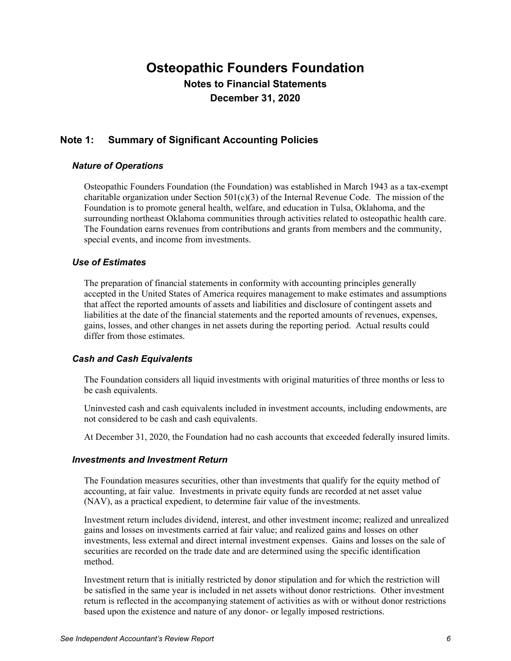### **Note 1: Summary of Significant Accounting Policies**

#### *Nature of Operations*

Osteopathic Founders Foundation (the Foundation) was established in March 1943 as a tax-exempt charitable organization under Section  $501(c)(3)$  of the Internal Revenue Code. The mission of the Foundation is to promote general health, welfare, and education in Tulsa, Oklahoma, and the surrounding northeast Oklahoma communities through activities related to osteopathic health care. The Foundation earns revenues from contributions and grants from members and the community, special events, and income from investments.

### *Use of Estimates*

The preparation of financial statements in conformity with accounting principles generally accepted in the United States of America requires management to make estimates and assumptions that affect the reported amounts of assets and liabilities and disclosure of contingent assets and liabilities at the date of the financial statements and the reported amounts of revenues, expenses, gains, losses, and other changes in net assets during the reporting period. Actual results could differ from those estimates.

### *Cash and Cash Equivalents*

The Foundation considers all liquid investments with original maturities of three months or less to be cash equivalents.

Uninvested cash and cash equivalents included in investment accounts, including endowments, are not considered to be cash and cash equivalents.

At December 31, 2020, the Foundation had no cash accounts that exceeded federally insured limits.

#### *Investments and Investment Return*

The Foundation measures securities, other than investments that qualify for the equity method of accounting, at fair value. Investments in private equity funds are recorded at net asset value (NAV), as a practical expedient, to determine fair value of the investments.

Investment return includes dividend, interest, and other investment income; realized and unrealized gains and losses on investments carried at fair value; and realized gains and losses on other investments, less external and direct internal investment expenses. Gains and losses on the sale of securities are recorded on the trade date and are determined using the specific identification method.

Investment return that is initially restricted by donor stipulation and for which the restriction will be satisfied in the same year is included in net assets without donor restrictions. Other investment return is reflected in the accompanying statement of activities as with or without donor restrictions based upon the existence and nature of any donor- or legally imposed restrictions.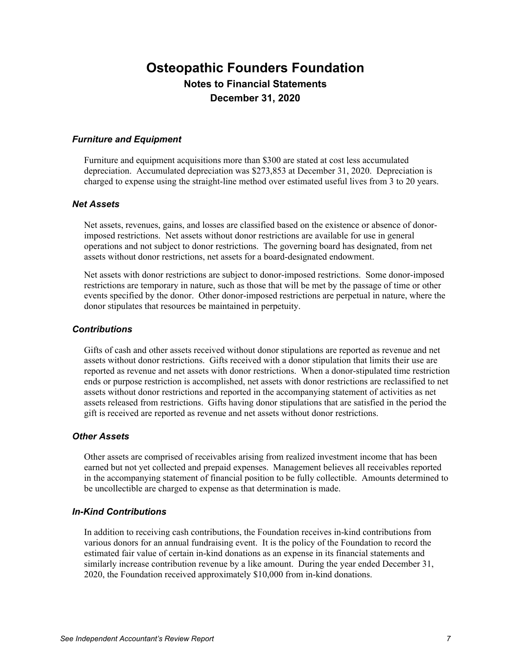#### *Furniture and Equipment*

Furniture and equipment acquisitions more than \$300 are stated at cost less accumulated depreciation. Accumulated depreciation was \$273,853 at December 31, 2020. Depreciation is charged to expense using the straight-line method over estimated useful lives from 3 to 20 years.

#### *Net Assets*

Net assets, revenues, gains, and losses are classified based on the existence or absence of donorimposed restrictions. Net assets without donor restrictions are available for use in general operations and not subject to donor restrictions. The governing board has designated, from net assets without donor restrictions, net assets for a board-designated endowment.

Net assets with donor restrictions are subject to donor-imposed restrictions. Some donor-imposed restrictions are temporary in nature, such as those that will be met by the passage of time or other events specified by the donor. Other donor-imposed restrictions are perpetual in nature, where the donor stipulates that resources be maintained in perpetuity.

#### *Contributions*

Gifts of cash and other assets received without donor stipulations are reported as revenue and net assets without donor restrictions. Gifts received with a donor stipulation that limits their use are reported as revenue and net assets with donor restrictions. When a donor-stipulated time restriction ends or purpose restriction is accomplished, net assets with donor restrictions are reclassified to net assets without donor restrictions and reported in the accompanying statement of activities as net assets released from restrictions. Gifts having donor stipulations that are satisfied in the period the gift is received are reported as revenue and net assets without donor restrictions.

#### *Other Assets*

Other assets are comprised of receivables arising from realized investment income that has been earned but not yet collected and prepaid expenses. Management believes all receivables reported in the accompanying statement of financial position to be fully collectible. Amounts determined to be uncollectible are charged to expense as that determination is made.

#### *In-Kind Contributions*

In addition to receiving cash contributions, the Foundation receives in-kind contributions from various donors for an annual fundraising event. It is the policy of the Foundation to record the estimated fair value of certain in-kind donations as an expense in its financial statements and similarly increase contribution revenue by a like amount. During the year ended December 31, 2020, the Foundation received approximately \$10,000 from in-kind donations.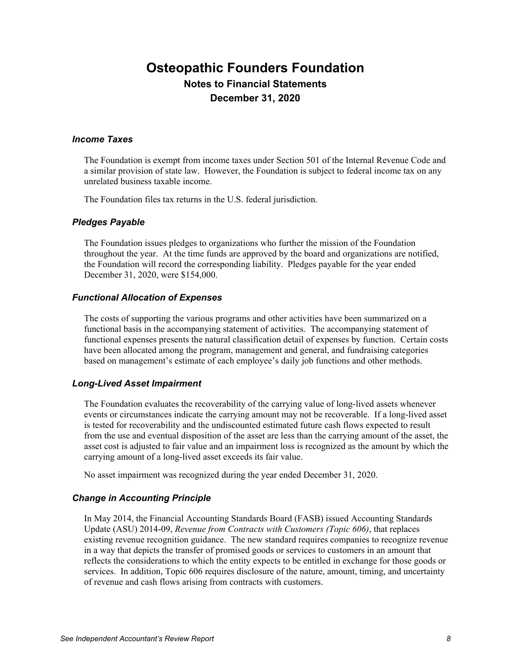### *Income Taxes*

The Foundation is exempt from income taxes under Section 501 of the Internal Revenue Code and a similar provision of state law. However, the Foundation is subject to federal income tax on any unrelated business taxable income.

The Foundation files tax returns in the U.S. federal jurisdiction.

### *Pledges Payable*

The Foundation issues pledges to organizations who further the mission of the Foundation throughout the year. At the time funds are approved by the board and organizations are notified, the Foundation will record the corresponding liability. Pledges payable for the year ended December 31, 2020, were \$154,000.

#### *Functional Allocation of Expenses*

The costs of supporting the various programs and other activities have been summarized on a functional basis in the accompanying statement of activities. The accompanying statement of functional expenses presents the natural classification detail of expenses by function. Certain costs have been allocated among the program, management and general, and fundraising categories based on management's estimate of each employee's daily job functions and other methods.

### *Long-Lived Asset Impairment*

The Foundation evaluates the recoverability of the carrying value of long-lived assets whenever events or circumstances indicate the carrying amount may not be recoverable. If a long-lived asset is tested for recoverability and the undiscounted estimated future cash flows expected to result from the use and eventual disposition of the asset are less than the carrying amount of the asset, the asset cost is adjusted to fair value and an impairment loss is recognized as the amount by which the carrying amount of a long-lived asset exceeds its fair value.

No asset impairment was recognized during the year ended December 31, 2020.

### *Change in Accounting Principle*

In May 2014, the Financial Accounting Standards Board (FASB) issued Accounting Standards Update (ASU) 2014-09, *Revenue from Contracts with Customers (Topic 606)*, that replaces existing revenue recognition guidance. The new standard requires companies to recognize revenue in a way that depicts the transfer of promised goods or services to customers in an amount that reflects the considerations to which the entity expects to be entitled in exchange for those goods or services. In addition, Topic 606 requires disclosure of the nature, amount, timing, and uncertainty of revenue and cash flows arising from contracts with customers.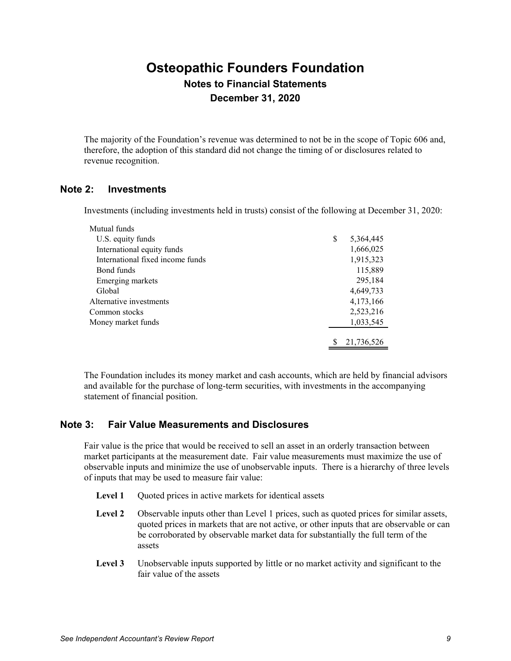The majority of the Foundation's revenue was determined to not be in the scope of Topic 606 and, therefore, the adoption of this standard did not change the timing of or disclosures related to revenue recognition.

### **Note 2: Investments**

Investments (including investments held in trusts) consist of the following at December 31, 2020:

| Mutual funds                     |                 |
|----------------------------------|-----------------|
| U.S. equity funds                | \$<br>5,364,445 |
| International equity funds       | 1,666,025       |
| International fixed income funds | 1,915,323       |
| Bond funds                       | 115,889         |
| Emerging markets                 | 295,184         |
| Global                           | 4,649,733       |
| Alternative investments          | 4,173,166       |
| Common stocks                    | 2,523,216       |
| Money market funds               | 1,033,545       |
|                                  |                 |
|                                  | 21,736,526      |

The Foundation includes its money market and cash accounts, which are held by financial advisors and available for the purchase of long-term securities, with investments in the accompanying statement of financial position.

### **Note 3: Fair Value Measurements and Disclosures**

Fair value is the price that would be received to sell an asset in an orderly transaction between market participants at the measurement date. Fair value measurements must maximize the use of observable inputs and minimize the use of unobservable inputs. There is a hierarchy of three levels of inputs that may be used to measure fair value:

- **Level 1** Quoted prices in active markets for identical assets
- Level 2 Observable inputs other than Level 1 prices, such as quoted prices for similar assets, quoted prices in markets that are not active, or other inputs that are observable or can be corroborated by observable market data for substantially the full term of the assets
- **Level 3** Unobservable inputs supported by little or no market activity and significant to the fair value of the assets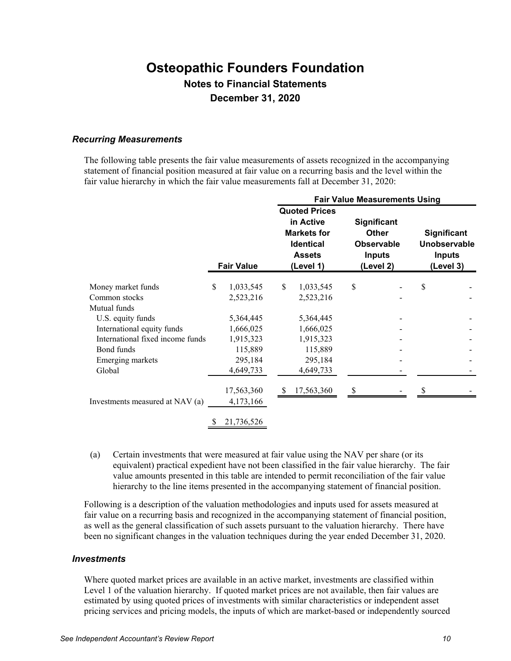#### *Recurring Measurements*

The following table presents the fair value measurements of assets recognized in the accompanying statement of financial position measured at fair value on a recurring basis and the level within the fair value hierarchy in which the fair value measurements fall at December 31, 2020:

|                                                                |    |                         | <b>Fair Value Measurements Using</b> |                                                                                                           |    |                                                                                |                                                                  |  |  |  |
|----------------------------------------------------------------|----|-------------------------|--------------------------------------|-----------------------------------------------------------------------------------------------------------|----|--------------------------------------------------------------------------------|------------------------------------------------------------------|--|--|--|
|                                                                |    | <b>Fair Value</b>       |                                      | <b>Quoted Prices</b><br>in Active<br><b>Markets for</b><br><b>Identical</b><br><b>Assets</b><br>(Level 1) |    | Significant<br><b>Other</b><br><b>Observable</b><br><b>Inputs</b><br>(Level 2) | <b>Significant</b><br>Unobservable<br><b>Inputs</b><br>(Level 3) |  |  |  |
| Money market funds<br>Common stocks                            | \$ | 1,033,545<br>2,523,216  | \$                                   | 1,033,545<br>2,523,216                                                                                    | \$ |                                                                                | \$                                                               |  |  |  |
| Mutual funds<br>U.S. equity funds                              |    | 5,364,445               |                                      | 5,364,445                                                                                                 |    |                                                                                |                                                                  |  |  |  |
| International equity funds<br>International fixed income funds |    | 1,666,025<br>1,915,323  |                                      | 1,666,025<br>1,915,323                                                                                    |    |                                                                                |                                                                  |  |  |  |
| Bond funds<br>Emerging markets                                 |    | 115,889<br>295,184      |                                      | 115,889<br>295,184                                                                                        |    |                                                                                |                                                                  |  |  |  |
| Global                                                         |    | 4,649,733               |                                      | 4,649,733                                                                                                 |    |                                                                                |                                                                  |  |  |  |
| Investments measured at NAV (a)                                |    | 17,563,360<br>4,173,166 |                                      | 17,563,360                                                                                                |    |                                                                                |                                                                  |  |  |  |
|                                                                | \$ | 21,736,526              |                                      |                                                                                                           |    |                                                                                |                                                                  |  |  |  |

(a) Certain investments that were measured at fair value using the NAV per share (or its equivalent) practical expedient have not been classified in the fair value hierarchy. The fair value amounts presented in this table are intended to permit reconciliation of the fair value hierarchy to the line items presented in the accompanying statement of financial position.

Following is a description of the valuation methodologies and inputs used for assets measured at fair value on a recurring basis and recognized in the accompanying statement of financial position, as well as the general classification of such assets pursuant to the valuation hierarchy. There have been no significant changes in the valuation techniques during the year ended December 31, 2020.

#### *Investments*

Where quoted market prices are available in an active market, investments are classified within Level 1 of the valuation hierarchy. If quoted market prices are not available, then fair values are estimated by using quoted prices of investments with similar characteristics or independent asset pricing services and pricing models, the inputs of which are market-based or independently sourced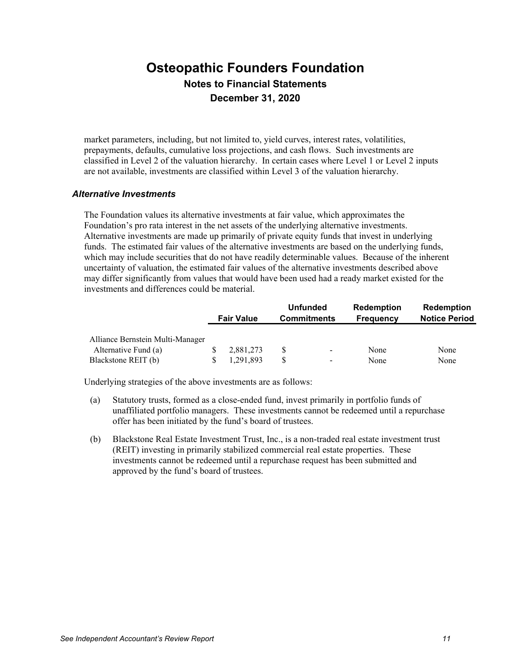market parameters, including, but not limited to, yield curves, interest rates, volatilities, prepayments, defaults, cumulative loss projections, and cash flows. Such investments are classified in Level 2 of the valuation hierarchy. In certain cases where Level 1 or Level 2 inputs are not available, investments are classified within Level 3 of the valuation hierarchy.

#### *Alternative Investments*

The Foundation values its alternative investments at fair value, which approximates the Foundation's pro rata interest in the net assets of the underlying alternative investments. Alternative investments are made up primarily of private equity funds that invest in underlying funds. The estimated fair values of the alternative investments are based on the underlying funds, which may include securities that do not have readily determinable values. Because of the inherent uncertainty of valuation, the estimated fair values of the alternative investments described above may differ significantly from values that would have been used had a ready market existed for the investments and differences could be material.

|                                  |   |                   |     | <b>Unfunded</b>          | <b>Redemption</b> | <b>Redemption</b>    |
|----------------------------------|---|-------------------|-----|--------------------------|-------------------|----------------------|
|                                  |   | <b>Fair Value</b> |     | <b>Commitments</b>       | <b>Frequency</b>  | <b>Notice Period</b> |
| Alliance Bernstein Multi-Manager |   |                   |     |                          |                   |                      |
| Alternative Fund (a)             | S | 2,881,273         | \$. | $\overline{\phantom{a}}$ | None              | None                 |
| Blackstone REIT (b)              |   | 1,291,893         | S   | -                        | None              | None                 |

Underlying strategies of the above investments are as follows:

- (a) Statutory trusts, formed as a close-ended fund, invest primarily in portfolio funds of unaffiliated portfolio managers. These investments cannot be redeemed until a repurchase offer has been initiated by the fund's board of trustees.
- (b) Blackstone Real Estate Investment Trust, Inc., is a non-traded real estate investment trust (REIT) investing in primarily stabilized commercial real estate properties. These investments cannot be redeemed until a repurchase request has been submitted and approved by the fund's board of trustees.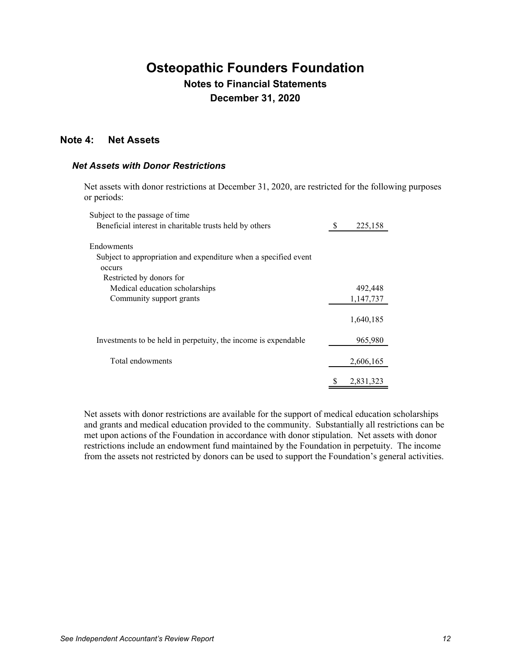### **Note 4: Net Assets**

#### *Net Assets with Donor Restrictions*

Net assets with donor restrictions at December 31, 2020, are restricted for the following purposes or periods:

| Subject to the passage of time                                  |   |           |
|-----------------------------------------------------------------|---|-----------|
| Beneficial interest in charitable trusts held by others         | S | 225,158   |
| Endowments                                                      |   |           |
|                                                                 |   |           |
| Subject to appropriation and expenditure when a specified event |   |           |
| occurs                                                          |   |           |
| Restricted by donors for                                        |   |           |
| Medical education scholarships                                  |   | 492,448   |
| Community support grants                                        |   | 1,147,737 |
|                                                                 |   |           |
|                                                                 |   | 1,640,185 |
| Investments to be held in perpetuity, the income is expendable  |   | 965,980   |
|                                                                 |   |           |
| Total endowments                                                |   | 2,606,165 |
|                                                                 |   |           |
|                                                                 |   | 2,831,323 |

Net assets with donor restrictions are available for the support of medical education scholarships and grants and medical education provided to the community. Substantially all restrictions can be met upon actions of the Foundation in accordance with donor stipulation. Net assets with donor restrictions include an endowment fund maintained by the Foundation in perpetuity. The income from the assets not restricted by donors can be used to support the Foundation's general activities.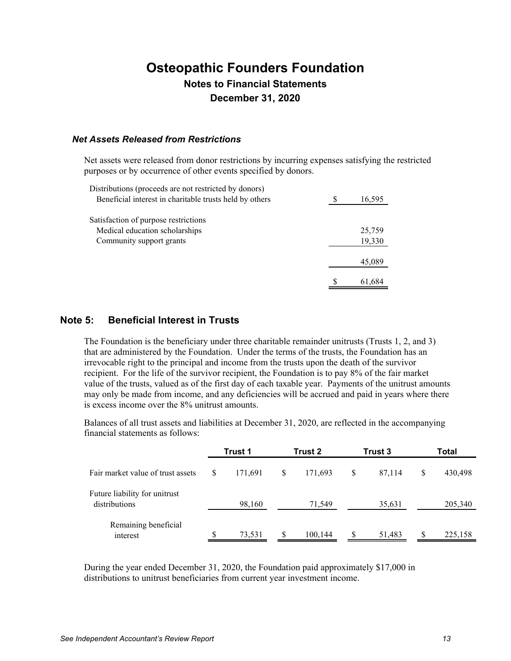#### *Net Assets Released from Restrictions*

Net assets were released from donor restrictions by incurring expenses satisfying the restricted purposes or by occurrence of other events specified by donors.

| Distributions (proceeds are not restricted by donors)   |        |
|---------------------------------------------------------|--------|
| Beneficial interest in charitable trusts held by others | 16,595 |
| Satisfaction of purpose restrictions                    |        |
| Medical education scholarships                          | 25,759 |
| Community support grants                                | 19,330 |
|                                                         | 45,089 |
|                                                         | 61,684 |

### **Note 5: Beneficial Interest in Trusts**

The Foundation is the beneficiary under three charitable remainder unitrusts (Trusts 1, 2, and 3) that are administered by the Foundation. Under the terms of the trusts, the Foundation has an irrevocable right to the principal and income from the trusts upon the death of the survivor recipient. For the life of the survivor recipient, the Foundation is to pay 8% of the fair market value of the trusts, valued as of the first day of each taxable year. Payments of the unitrust amounts may only be made from income, and any deficiencies will be accrued and paid in years where there is excess income over the 8% unitrust amounts.

Balances of all trust assets and liabilities at December 31, 2020, are reflected in the accompanying financial statements as follows:

|                                                | Trust 1<br>Trust 2 |         |          | Trust 3 |              | Total  |    |         |
|------------------------------------------------|--------------------|---------|----------|---------|--------------|--------|----|---------|
| Fair market value of trust assets              | S.                 | 171.691 | S        | 171,693 | <sup>S</sup> | 87.114 | \$ | 430,498 |
| Future liability for unitrust<br>distributions |                    | 98,160  |          | 71,549  |              | 35,631 |    | 205,340 |
| Remaining beneficial<br>interest               |                    | 73,531  | <b>S</b> | 100,144 | -S           | 51,483 | S  | 225,158 |

During the year ended December 31, 2020, the Foundation paid approximately \$17,000 in distributions to unitrust beneficiaries from current year investment income.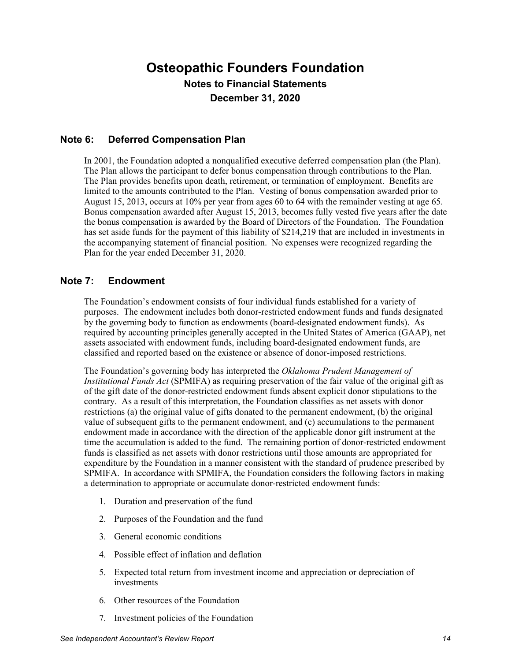### **Note 6: Deferred Compensation Plan**

In 2001, the Foundation adopted a nonqualified executive deferred compensation plan (the Plan). The Plan allows the participant to defer bonus compensation through contributions to the Plan. The Plan provides benefits upon death, retirement, or termination of employment. Benefits are limited to the amounts contributed to the Plan. Vesting of bonus compensation awarded prior to August 15, 2013, occurs at 10% per year from ages 60 to 64 with the remainder vesting at age 65. Bonus compensation awarded after August 15, 2013, becomes fully vested five years after the date the bonus compensation is awarded by the Board of Directors of the Foundation. The Foundation has set aside funds for the payment of this liability of \$214,219 that are included in investments in the accompanying statement of financial position. No expenses were recognized regarding the Plan for the year ended December 31, 2020.

### **Note 7: Endowment**

The Foundation's endowment consists of four individual funds established for a variety of purposes. The endowment includes both donor-restricted endowment funds and funds designated by the governing body to function as endowments (board-designated endowment funds). As required by accounting principles generally accepted in the United States of America (GAAP), net assets associated with endowment funds, including board-designated endowment funds, are classified and reported based on the existence or absence of donor-imposed restrictions.

The Foundation's governing body has interpreted the *Oklahoma Prudent Management of Institutional Funds Act* (SPMIFA) as requiring preservation of the fair value of the original gift as of the gift date of the donor-restricted endowment funds absent explicit donor stipulations to the contrary. As a result of this interpretation, the Foundation classifies as net assets with donor restrictions (a) the original value of gifts donated to the permanent endowment, (b) the original value of subsequent gifts to the permanent endowment, and (c) accumulations to the permanent endowment made in accordance with the direction of the applicable donor gift instrument at the time the accumulation is added to the fund. The remaining portion of donor-restricted endowment funds is classified as net assets with donor restrictions until those amounts are appropriated for expenditure by the Foundation in a manner consistent with the standard of prudence prescribed by SPMIFA. In accordance with SPMIFA, the Foundation considers the following factors in making a determination to appropriate or accumulate donor-restricted endowment funds:

- 1. Duration and preservation of the fund
- 2. Purposes of the Foundation and the fund
- 3. General economic conditions
- 4. Possible effect of inflation and deflation
- 5. Expected total return from investment income and appreciation or depreciation of investments
- 6. Other resources of the Foundation
- 7. Investment policies of the Foundation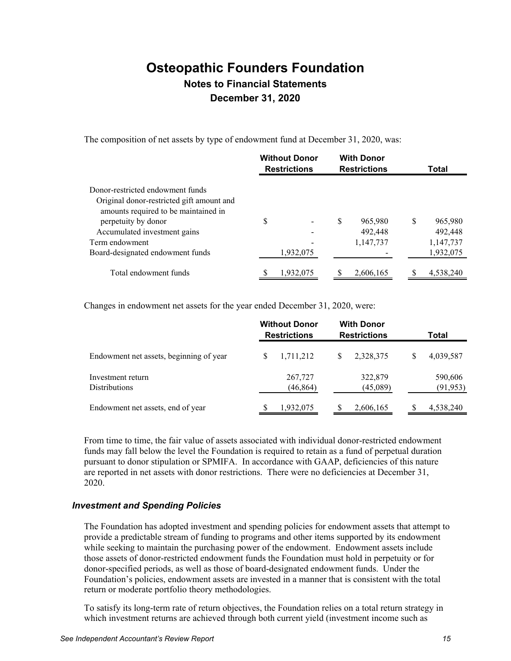The composition of net assets by type of endowment fund at December 31, 2020, was:

|                                                                                   |   | <b>Without Donor</b><br><b>Restrictions</b> | <b>With Donor</b><br><b>Restrictions</b> | Total         |
|-----------------------------------------------------------------------------------|---|---------------------------------------------|------------------------------------------|---------------|
| Donor-restricted endowment funds                                                  |   |                                             |                                          |               |
| Original donor-restricted gift amount and<br>amounts required to be maintained in |   |                                             |                                          |               |
| perpetuity by donor                                                               | S |                                             | \$<br>965,980                            | \$<br>965,980 |
| Accumulated investment gains                                                      |   |                                             | 492,448                                  | 492,448       |
| Term endowment                                                                    |   |                                             | 1,147,737                                | 1,147,737     |
| Board-designated endowment funds                                                  |   | 1,932,075                                   |                                          | 1,932,075     |
| Total endowment funds                                                             |   | 1,932,075                                   | 2,606,165                                | 4,538,240     |

Changes in endowment net assets for the year ended December 31, 2020, were:

| Endowment net assets, beginning of year   | <b>Without Donor</b><br><b>Restrictions</b> |                      | <b>With Donor</b><br><b>Restrictions</b> |                     | Total |                      |
|-------------------------------------------|---------------------------------------------|----------------------|------------------------------------------|---------------------|-------|----------------------|
|                                           |                                             | 1,711,212            | S                                        | 2,328,375           | S     | 4,039,587            |
| Investment return<br><b>Distributions</b> |                                             | 267,727<br>(46, 864) |                                          | 322,879<br>(45,089) |       | 590,606<br>(91, 953) |
| Endowment net assets, end of year         |                                             | 1,932,075            |                                          | 2,606,165           |       | 4,538,240            |

From time to time, the fair value of assets associated with individual donor-restricted endowment funds may fall below the level the Foundation is required to retain as a fund of perpetual duration pursuant to donor stipulation or SPMIFA. In accordance with GAAP, deficiencies of this nature are reported in net assets with donor restrictions. There were no deficiencies at December 31, 2020.

### *Investment and Spending Policies*

The Foundation has adopted investment and spending policies for endowment assets that attempt to provide a predictable stream of funding to programs and other items supported by its endowment while seeking to maintain the purchasing power of the endowment. Endowment assets include those assets of donor-restricted endowment funds the Foundation must hold in perpetuity or for donor-specified periods, as well as those of board-designated endowment funds. Under the Foundation's policies, endowment assets are invested in a manner that is consistent with the total return or moderate portfolio theory methodologies.

To satisfy its long-term rate of return objectives, the Foundation relies on a total return strategy in which investment returns are achieved through both current yield (investment income such as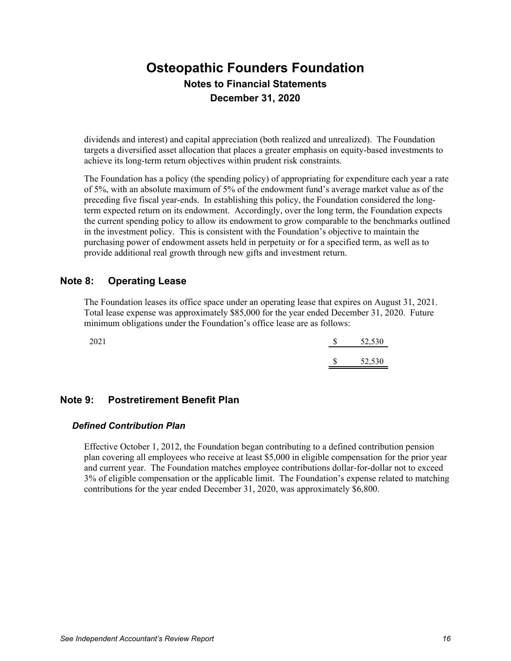dividends and interest) and capital appreciation (both realized and unrealized). The Foundation targets a diversified asset allocation that places a greater emphasis on equity-based investments to achieve its long-term return objectives within prudent risk constraints.

The Foundation has a policy (the spending policy) of appropriating for expenditure each year a rate of 5%, with an absolute maximum of 5% of the endowment fund's average market value as of the preceding five fiscal year-ends. In establishing this policy, the Foundation considered the longterm expected return on its endowment. Accordingly, over the long term, the Foundation expects the current spending policy to allow its endowment to grow comparable to the benchmarks outlined in the investment policy. This is consistent with the Foundation's objective to maintain the purchasing power of endowment assets held in perpetuity or for a specified term, as well as to provide additional real growth through new gifts and investment return.

### **Note 8: Operating Lease**

The Foundation leases its office space under an operating lease that expires on August 31, 2021. Total lease expense was approximately \$85,000 for the year ended December 31, 2020. Future minimum obligations under the Foundation's office lease are as follows:

| 2021 | \$52,530 |
|------|----------|
|      | \$52,530 |

### **Note 9: Postretirement Benefit Plan**

#### *Defined Contribution Plan*

Effective October 1, 2012, the Foundation began contributing to a defined contribution pension plan covering all employees who receive at least \$5,000 in eligible compensation for the prior year and current year. The Foundation matches employee contributions dollar-for-dollar not to exceed 3% of eligible compensation or the applicable limit. The Foundation's expense related to matching contributions for the year ended December 31, 2020, was approximately \$6,800.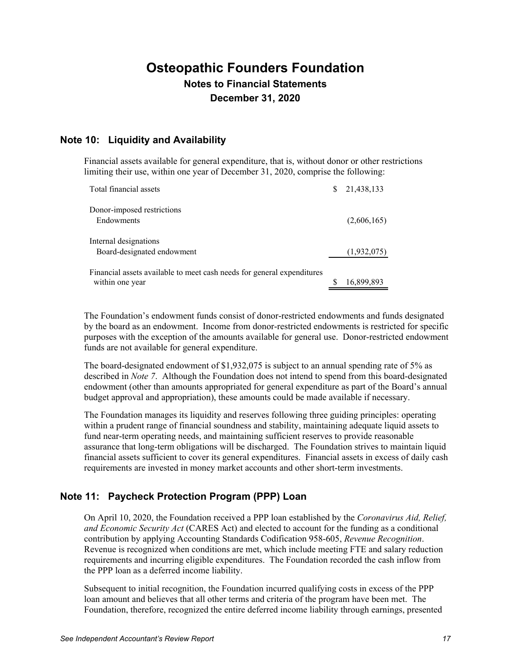### **Note 10: Liquidity and Availability**

Financial assets available for general expenditure, that is, without donor or other restrictions limiting their use, within one year of December 31, 2020, comprise the following:

| Total financial assets                                                 | S | 21,438,133  |
|------------------------------------------------------------------------|---|-------------|
| Donor-imposed restrictions                                             |   |             |
| <b>Endowments</b>                                                      |   | (2,606,165) |
| Internal designations                                                  |   |             |
| Board-designated endowment                                             |   | (1,932,075) |
| Financial assets available to meet cash needs for general expenditures |   |             |
| within one year                                                        |   | 16,899,893  |

The Foundation's endowment funds consist of donor-restricted endowments and funds designated by the board as an endowment. Income from donor-restricted endowments is restricted for specific purposes with the exception of the amounts available for general use. Donor-restricted endowment funds are not available for general expenditure.

The board-designated endowment of \$1,932,075 is subject to an annual spending rate of 5% as described in *Note 7*. Although the Foundation does not intend to spend from this board-designated endowment (other than amounts appropriated for general expenditure as part of the Board's annual budget approval and appropriation), these amounts could be made available if necessary.

The Foundation manages its liquidity and reserves following three guiding principles: operating within a prudent range of financial soundness and stability, maintaining adequate liquid assets to fund near-term operating needs, and maintaining sufficient reserves to provide reasonable assurance that long-term obligations will be discharged. The Foundation strives to maintain liquid financial assets sufficient to cover its general expenditures. Financial assets in excess of daily cash requirements are invested in money market accounts and other short-term investments.

### **Note 11: Paycheck Protection Program (PPP) Loan**

On April 10, 2020, the Foundation received a PPP loan established by the *Coronavirus Aid, Relief, and Economic Security Act* (CARES Act) and elected to account for the funding as a conditional contribution by applying Accounting Standards Codification 958-605, *Revenue Recognition*. Revenue is recognized when conditions are met, which include meeting FTE and salary reduction requirements and incurring eligible expenditures. The Foundation recorded the cash inflow from the PPP loan as a deferred income liability.

Subsequent to initial recognition, the Foundation incurred qualifying costs in excess of the PPP loan amount and believes that all other terms and criteria of the program have been met. The Foundation, therefore, recognized the entire deferred income liability through earnings, presented